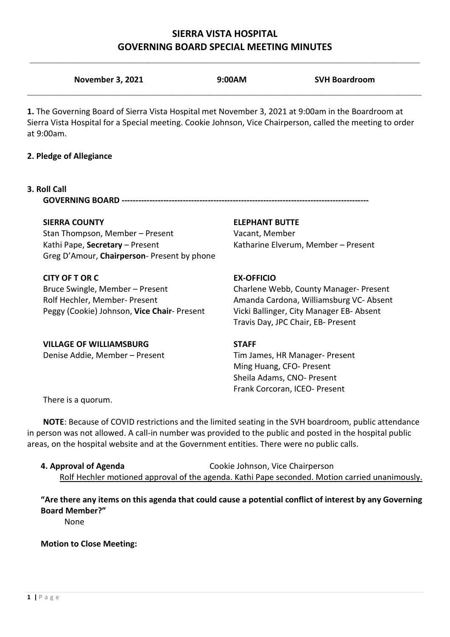## **SIERRA VISTA HOSPITAL GOVERNING BOARD SPECIAL MEETING MINUTES**

| <b>November 3, 2021</b>                                                                                                                                                                                                        | 9:00AM                         | <b>SVH Boardroom</b>                     |
|--------------------------------------------------------------------------------------------------------------------------------------------------------------------------------------------------------------------------------|--------------------------------|------------------------------------------|
| 1. The Governing Board of Sierra Vista Hospital met November 3, 2021 at 9:00am in the Boardroom at<br>Sierra Vista Hospital for a Special meeting. Cookie Johnson, Vice Chairperson, called the meeting to order<br>at 9:00am. |                                |                                          |
| 2. Pledge of Allegiance                                                                                                                                                                                                        |                                |                                          |
| 3. Roll Call                                                                                                                                                                                                                   |                                |                                          |
| <b>SIERRA COUNTY</b>                                                                                                                                                                                                           | <b>ELEPHANT BUTTE</b>          |                                          |
| Stan Thompson, Member - Present                                                                                                                                                                                                | Vacant, Member                 |                                          |
| Kathi Pape, Secretary - Present<br>Greg D'Amour, Chairperson- Present by phone                                                                                                                                                 |                                | Katharine Elverum, Member - Present      |
| <b>CITY OF T OR C</b>                                                                                                                                                                                                          | <b>EX-OFFICIO</b>              |                                          |
| Bruce Swingle, Member - Present                                                                                                                                                                                                |                                | Charlene Webb, County Manager- Present   |
| Rolf Hechler, Member- Present                                                                                                                                                                                                  |                                | Amanda Cardona, Williamsburg VC- Absent  |
| Peggy (Cookie) Johnson, Vice Chair- Present                                                                                                                                                                                    |                                | Vicki Ballinger, City Manager EB- Absent |
|                                                                                                                                                                                                                                |                                | Travis Day, JPC Chair, EB- Present       |
| <b>VILLAGE OF WILLIAMSBURG</b>                                                                                                                                                                                                 | <b>STAFF</b>                   |                                          |
| Denise Addie, Member - Present                                                                                                                                                                                                 | Tim James, HR Manager- Present |                                          |
|                                                                                                                                                                                                                                | Ming Huang, CFO- Present       |                                          |

There is a quorum.

**NOTE**: Because of COVID restrictions and the limited seating in the SVH boardroom, public attendance in person was not allowed. A call-in number was provided to the public and posted in the hospital public areas, on the hospital website and at the Government entities. There were no public calls.

**4. Approval of Agenda** Cookie Johnson, Vice Chairperson Rolf Hechler motioned approval of the agenda. Kathi Pape seconded. Motion carried unanimously.

Sheila Adams, CNO- Present Frank Corcoran, ICEO- Present

**"Are there any items on this agenda that could cause a potential conflict of interest by any Governing Board Member?"**

None

**Motion to Close Meeting:**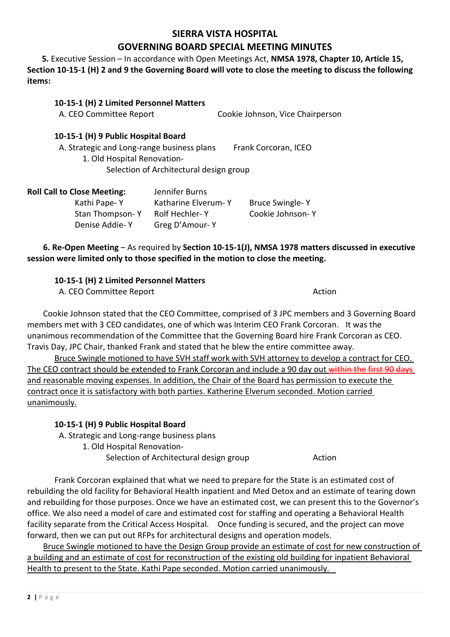#### **SIERRA VISTA HOSPITAL**

### **GOVERNING BOARD SPECIAL MEETING MINUTES**

 **5.** Executive Session – In accordance with Open Meetings Act, **NMSA 1978, Chapter 10, Article 15, Section 10-15-1 (H) 2 and 9 the Governing Board will vote to close the meeting to discuss the following items:**

| 10-15-1 (H) 2 Limited Personnel Matters<br>A. CEO Committee Report                                               | Cookie Johnson, Vice Chairperson |
|------------------------------------------------------------------------------------------------------------------|----------------------------------|
| 10-15-1 (H) 9 Public Hospital Board<br>A. Strategic and Long-range business plans<br>1. Old Hospital Renovation- | Frank Corcoran, ICEO             |
| Selection of Architectural design group                                                                          |                                  |

| <b>Roll Call to Close Meeting:</b> | Jennifer Burns      |                        |
|------------------------------------|---------------------|------------------------|
| Kathi Pape-Y                       | Katharine Elverum-Y | <b>Bruce Swingle-Y</b> |
| Stan Thompson-Y                    | Rolf Hechler-Y      | Cookie Johnson-Y       |
| Denise Addie-Y                     | Greg D'Amour-Y      |                        |

**6. Re-Open Meeting** – As required by **Section 10-15-1(J), NMSA 1978 matters discussed in executive session were limited only to those specified in the motion to close the meeting.**

#### **10-15-1 (H) 2 Limited Personnel Matters**

A. CEO Committee Report **Action** 

Cookie Johnson stated that the CEO Committee, comprised of 3 JPC members and 3 Governing Board members met with 3 CEO candidates, one of which was Interim CEO Frank Corcoran. It was the unanimous recommendation of the Committee that the Governing Board hire Frank Corcoran as CEO. Travis Day, JPC Chair, thanked Frank and stated that he blew the entire committee away.

Bruce Swingle motioned to have SVH staff work with SVH attorney to develop a contract for CEO. The CEO contract should be extended to Frank Corcoran and include a 90 day out within the first 90 days and reasonable moving expenses. In addition, the Chair of the Board has permission to execute the contract once it is satisfactory with both parties. Katherine Elverum seconded. Motion carried unanimously.

#### **10-15-1 (H) 9 Public Hospital Board**

A. Strategic and Long-range business plans

1. Old Hospital Renovation-

Selection of Architectural design group Theorem Action

Frank Corcoran explained that what we need to prepare for the State is an estimated cost of rebuilding the old facility for Behavioral Health inpatient and Med Detox and an estimate of tearing down and rebuilding for those purposes. Once we have an estimated cost, we can present this to the Governor's office. We also need a model of care and estimated cost for staffing and operating a Behavioral Health facility separate from the Critical Access Hospital. Once funding is secured, and the project can move forward, then we can put out RFPs for architectural designs and operation models.

Bruce Swingle motioned to have the Design Group provide an estimate of cost for new construction of a building and an estimate of cost for reconstruction of the existing old building for inpatient Behavioral Health to present to the State. Kathi Pape seconded. Motion carried unanimously.